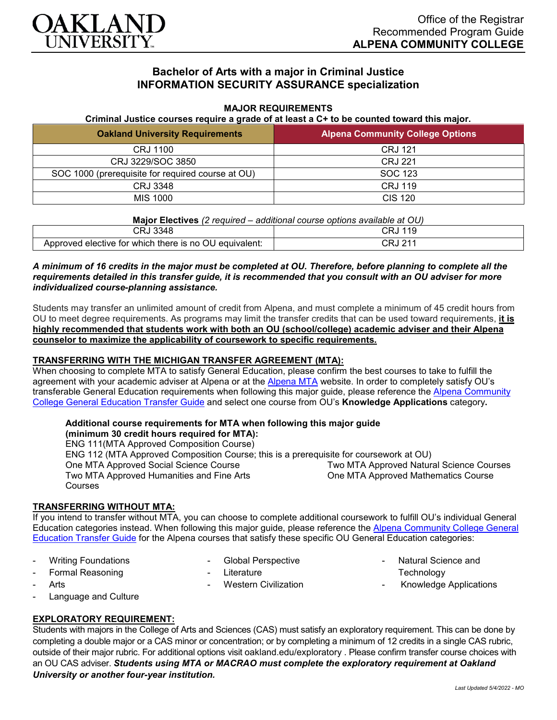

# **Bachelor of Arts with a major in Criminal Justice INFORMATION SECURITY ASSURANCE specialization**

#### **MAJOR REQUIREMENTS**

**Criminal Justice courses require a grade of at least a C+ to be counted toward this major.**

| <b>Oakland University Requirements</b>            | <b>Alpena Community College Options</b> |
|---------------------------------------------------|-----------------------------------------|
| CRJ 1100                                          | CRJ 121                                 |
| CRJ 3229/SOC 3850                                 | CRJ 221                                 |
| SOC 1000 (prerequisite for required course at OU) | SOC 123                                 |
| CRJ 3348                                          | CRJ 119                                 |
| MIS 1000                                          | CIS 120                                 |

|  | Major Electives (2 required – additional course options available at OU) |  |
|--|--------------------------------------------------------------------------|--|
|  |                                                                          |  |

| 3348                                                   | ាទ        |
|--------------------------------------------------------|-----------|
| JRJ∶                                                   | ں ا ب     |
| Approved elective for which there is no OU equivalent: | ິ<br>ں اب |

#### *A minimum of 16 credits in the major must be completed at OU. Therefore, before planning to complete all the requirements detailed in this transfer guide, it is recommended that you consult with an OU adviser for more individualized course-planning assistance.*

Students may transfer an unlimited amount of credit from Alpena, and must complete a minimum of 45 credit hours from OU to meet degree requirements. As programs may limit the transfer credits that can be used toward requirements, **it is highly recommended that students work with both an OU (school/college) academic adviser and their Alpena counselor to maximize the applicability of coursework to specific requirements.**

### **TRANSFERRING WITH THE MICHIGAN TRANSFER AGREEMENT (MTA):**

When choosing to complete MTA to satisfy General Education, please confirm the best courses to take to fulfill the agreement with your academic adviser at Alpena or at the [Alpena MTA](https://discover.alpenacc.edu/admissions/current_students/MTA.php) website. In order to completely satisfy OU's transferable General Education requirements when following this major guide, please reference the [Alpena Community](https://www.oakland.edu/Assets/Oakland/program-guides/alpena-community-college/university-general-education-requirements/Alpena%20Gen%20Ed.pdf)  [College General Education Transfer Guide](https://www.oakland.edu/Assets/Oakland/program-guides/alpena-community-college/university-general-education-requirements/Alpena%20Gen%20Ed.pdf) and select one course from OU's **Knowledge Applications** category**.**

#### **Additional course requirements for MTA when following this major guide**

**(minimum 30 credit hours required for MTA):** ENG 111(MTA Approved Composition Course) ENG 112 (MTA Approved Composition Course; this is a prerequisite for coursework at OU) One MTA Approved Social Science Course Two MTA Approved Humanities and Fine Arts Courses Two MTA Approved Natural Science Courses One MTA Approved Mathematics Course

## **TRANSFERRING WITHOUT MTA:**

If you intend to transfer without MTA, you can choose to complete additional coursework to fulfill OU's individual General Education categories instead. When following this major guide, please reference the [Alpena Community College General](https://www.oakland.edu/Assets/Oakland/program-guides/alpena-community-college/university-general-education-requirements/Alpena%20Gen%20Ed.pdf)  [Education Transfer Guide](https://www.oakland.edu/Assets/Oakland/program-guides/alpena-community-college/university-general-education-requirements/Alpena%20Gen%20Ed.pdf) for the Alpena courses that satisfy these specific OU General Education categories:

Writing Foundations

- Global Perspective

Western Civilization

**Literature** 

- Formal Reasoning
- **Arts**
- Language and Culture

### **EXPLORATORY REQUIREMENT:**

Students with majors in the College of Arts and Sciences (CAS) must satisfy an exploratory requirement. This can be done by completing a double major or a CAS minor or concentration; or by completing a minimum of 12 credits in a single CAS rubric, outside of their major rubric. For additional options visit [oakland.edu/exploratory](http://www.oakland.edu/exploratory) . Please confirm transfer course choices with an OU CAS adviser. *Students using MTA or MACRAO must complete the exploratory requirement at Oakland University or another four-year institution.*

Natural Science and

- Knowledge Applications

**Technology**